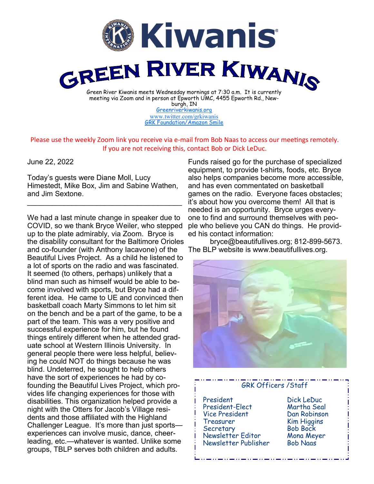

burgh, IN [Greenriverkiwanis.org](http://greenriverkiwanis.org/default.aspx) [www.twitter.com/grkiwanis](http://www.twitter.com/grkiwanis) [GRK Foundation/Amazon Smile](https://smile.amazon.com/ch/81-0946403)

Please use the weekly Zoom link you receive via e-mail from Bob Naas to access our meetings remotely. If you are not receiving this, contact Bob or Dick LeDuc.

June 22, 2022

Today's guests were Diane Moll, Lucy Himestedt, Mike Box, Jim and Sabine Wathen, and Jim Sextone.

 $\mathcal{L}_\text{max}$  , and the set of the set of the set of the set of the set of the set of the set of the set of the set of the set of the set of the set of the set of the set of the set of the set of the set of the set of the

We had a last minute change in speaker due to COVID, so we thank Bryce Weiler, who stepped up to the plate admirably, via Zoom. Bryce is the disability consultant for the Baltimore Orioles and co-founder (with Anthony Iacavone) of the Beautiful Lives Project. As a child he listened to a lot of sports on the radio and was fascinated. It seemed (to others, perhaps) unlikely that a blind man such as himself would be able to become involved with sports, but Bryce had a different idea. He came to UE and convinced then basketball coach Marty Simmons to let him sit on the bench and be a part of the game, to be a part of the team. This was a very positive and successful experience for him, but he found things entirely different when he attended graduate school at Western Illinois University. In general people there were less helpful, believing he could NOT do things because he was blind. Undeterred, he sought to help others have the sort of experiences he had by cofounding the Beautiful Lives Project, which provides life changing experiences for those with disabilities. This organization helped provide a night with the Otters for Jacob's Village residents and those affiliated with the Highland Challenger League. It's more than just sports experiences can involve music, dance, cheerleading, etc.—whatever is wanted. Unlike some groups, TBLP serves both children and adults.

Funds raised go for the purchase of specialized equipment, to provide t-shirts, foods, etc. Bryce also helps companies become more accessible, and has even commentated on basketball games on the radio. Everyone faces obstacles; it's about how you overcome them! All that is needed is an opportunity. Bryce urges everyone to find and surround themselves with people who believe you CAN do things. He provided his contact information:

bryce@beautifullives.org; 812-899-5673. The BLP website is www.beautifullives.org.



## GRK Officers /Staff President Dick LeDuc President-Elect Vice President Dan Robinson Treasurer Kim Higgins Secretary Bob Bock Newsletter Editor Mona Meyer Newsletter Publisher Bob Naas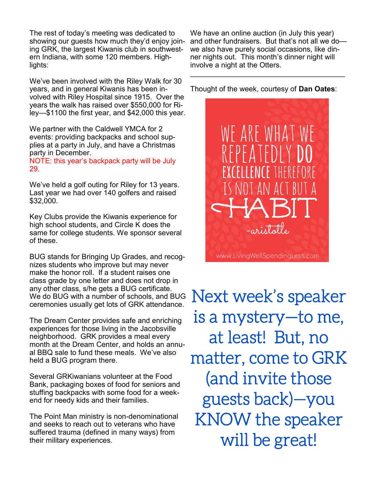The rest of today's meeting was dedicated to showing our guests how much they'd enjoy joining GRK, the largest Kiwanis club in southwestern Indiana, with some 120 members. Highlights:

We've been involved with the Riley Walk for 30 years, and in general Kiwanis has been involved with Riley Hospital since 1915. Over the years the walk has raised over \$550,000 for Riley—\$1100 the first year, and \$42,000 this year.

We partner with the Caldwell YMCA for 2 events: providing backpacks and school supplies at a party in July, and have a Christmas party in December.

NOTE: this year's backpack party will be July 29.

We've held a golf outing for Riley for 13 years. Last year we had over 140 golfers and raised \$32,000.

Key Clubs provide the Kiwanis experience for high school students, and Circle K does the same for college students. We sponsor several of these.

BUG stands for Bringing Up Grades, and recognizes students who improve but may never make the honor roll. If a student raises one class grade by one letter and does not drop in any other class, s/he gets a BUG certificate. We do BUG with a number of schools, and BUG ceremonies usually get lots of GRK attendance.

The Dream Center provides safe and enriching experiences for those living in the Jacobsville neighborhood. GRK provides a meal every month at the Dream Center, and holds an annual BBQ sale to fund these meals. We've also held a BUG program there.

Several GRKiwanians volunteer at the Food Bank, packaging boxes of food for seniors and stuffing backpacks with some food for a weekend for needy kids and their families.

The Point Man ministry is non-denominational and seeks to reach out to veterans who have suffered trauma (defined in many ways) from their military experiences.

We have an online auction (in July this year) and other fundraisers. But that's not all we do we also have purely social occasions, like dinner nights out. This month's dinner night will involve a night at the Otters. \_\_\_\_\_\_\_\_\_\_\_\_\_\_\_\_\_\_\_\_\_\_\_\_\_\_\_\_\_\_\_\_\_\_\_\_\_\_

Thought of the week, courtesy of **Dan Oates**:



Next week's speaker is a mystery—to me, at least! But, no matter, come to GRK (and invite those guests back)—you KNOW the speaker will be great!